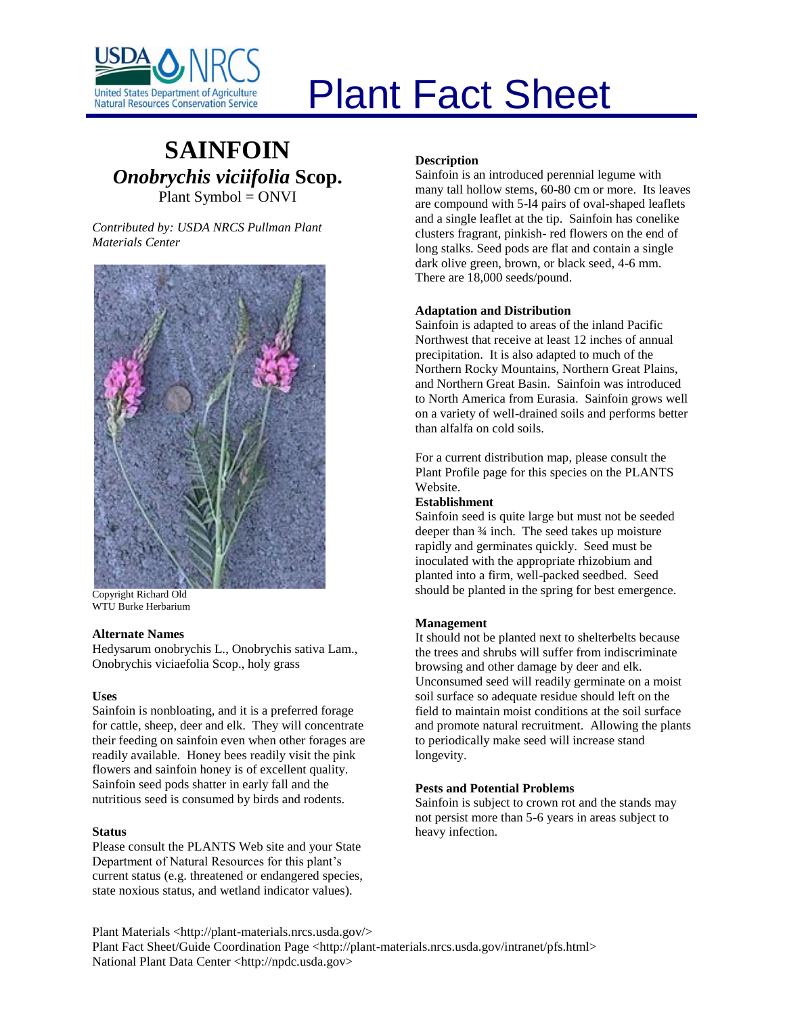

# Plant Fact Sheet

# **SAINFOIN** *Onobrychis viciifolia* **Scop.** Plant Symbol = ONVI

*Contributed by: USDA NRCS Pullman Plant Materials Center*



Copyright Richard Old WTU Burke Herbarium

#### **Alternate Names**

Hedysarum onobrychis L., Onobrychis sativa Lam., Onobrychis viciaefolia Scop., holy grass

#### **Uses**

Sainfoin is nonbloating, and it is a preferred forage for cattle, sheep, deer and elk. They will concentrate their feeding on sainfoin even when other forages are readily available. Honey bees readily visit the pink flowers and sainfoin honey is of excellent quality. Sainfoin seed pods shatter in early fall and the nutritious seed is consumed by birds and rodents.

# **Status**

Please consult the PLANTS Web site and your State Department of Natural Resources for this plant's current status (e.g. threatened or endangered species, state noxious status, and wetland indicator values).

#### **Description**

Sainfoin is an introduced perennial legume with many tall hollow stems, 60-80 cm or more. Its leaves are compound with 5-l4 pairs of oval-shaped leaflets and a single leaflet at the tip. Sainfoin has conelike clusters fragrant, pinkish- red flowers on the end of long stalks. Seed pods are flat and contain a single dark olive green, brown, or black seed, 4-6 mm. There are 18,000 seeds/pound.

#### **Adaptation and Distribution**

Sainfoin is adapted to areas of the inland Pacific Northwest that receive at least 12 inches of annual precipitation. It is also adapted to much of the Northern Rocky Mountains, Northern Great Plains, and Northern Great Basin. Sainfoin was introduced to North America from Eurasia. Sainfoin grows well on a variety of well-drained soils and performs better than alfalfa on cold soils.

For a current distribution map, please consult the Plant Profile page for this species on the PLANTS Website.

#### **Establishment**

Sainfoin seed is quite large but must not be seeded deeper than ¾ inch. The seed takes up moisture rapidly and germinates quickly. Seed must be inoculated with the appropriate rhizobium and planted into a firm, well-packed seedbed. Seed should be planted in the spring for best emergence.

# **Management**

It should not be planted next to shelterbelts because the trees and shrubs will suffer from indiscriminate browsing and other damage by deer and elk. Unconsumed seed will readily germinate on a moist soil surface so adequate residue should left on the field to maintain moist conditions at the soil surface and promote natural recruitment. Allowing the plants to periodically make seed will increase stand longevity.

#### **Pests and Potential Problems**

Sainfoin is subject to crown rot and the stands may not persist more than 5-6 years in areas subject to heavy infection.

Plant Materials <http://plant-materials.nrcs.usda.gov/> Plant Fact Sheet/Guide Coordination Page <http://plant-materials.nrcs.usda.gov/intranet/pfs.html> National Plant Data Center <http://npdc.usda.gov>